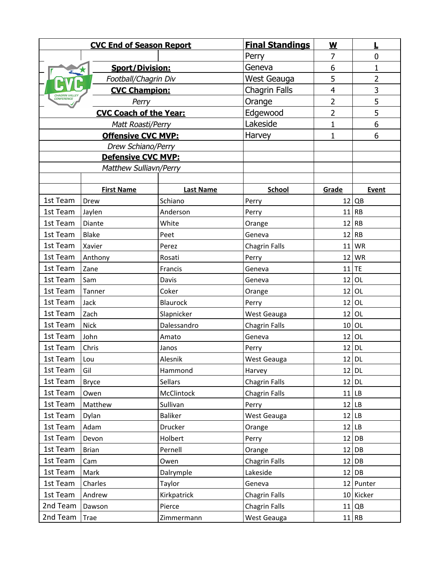| <b>CVC End of Season Report</b>              |                        |                   | <b>Final Standings</b> | $\underline{\mathsf{w}}$ | ▙              |
|----------------------------------------------|------------------------|-------------------|------------------------|--------------------------|----------------|
|                                              |                        |                   | Perry                  | 7                        | $\mathbf 0$    |
|                                              | <b>Sport/Division:</b> |                   | Geneva                 | 6                        | $\mathbf{1}$   |
| Football/Chagrin Div                         |                        |                   | West Geauga            | 5                        | $\overline{2}$ |
| <b>CVC Champion:</b><br><b>CHAGRIN VALLE</b> |                        |                   | <b>Chagrin Falls</b>   | 4                        | 3              |
| CONFERENCE<br>Perry                          |                        |                   | Orange                 | $\overline{2}$           | 5              |
| <b>CVC Coach of the Year:</b>                |                        |                   | Edgewood               | $\overline{2}$           | 5              |
| Matt Roasti/Perry                            |                        |                   | Lakeside               | $\mathbf{1}$             | 6              |
| <b>Offensive CVC MVP:</b>                    |                        |                   | Harvey                 | $\mathbf{1}$             | 6              |
| Drew Schiano/Perry                           |                        |                   |                        |                          |                |
| Defensive CVC MVP:                           |                        |                   |                        |                          |                |
| <b>Matthew Sulliavn/Perry</b>                |                        |                   |                        |                          |                |
|                                              |                        |                   |                        |                          |                |
|                                              | <b>First Name</b>      | <b>Last Name</b>  | <b>School</b>          | Grade                    | Event          |
| 1st Team                                     | Drew                   | Schiano           | Perry                  |                          | 12   OB        |
| 1st Team<br>1st Team                         | Jaylen                 | Anderson          | Perry                  | 11                       | <b>RB</b>      |
|                                              | Diante                 | White             | Orange                 | 12                       | <b>RB</b>      |
| 1st Team<br>1st Team                         | <b>Blake</b>           | Peet              | Geneva                 |                          | $12$ RB        |
| 1st Team                                     | Xavier                 | Perez             | <b>Chagrin Falls</b>   | 11<br>12                 | <b>WR</b>      |
| 1st Team                                     | Anthony                | Rosati<br>Francis | Perry                  |                          | WR             |
| 1st Team                                     | Zane<br>Sam            | Davis             | Geneva                 | 12                       | $11$ TE<br>OL  |
| 1st Team                                     | Tanner                 | Coker             | Geneva<br>Orange       |                          | $12$ OL        |
| 1st Team                                     | Jack                   | Blaurock          | Perry                  | 12                       | OL             |
| 1st Team                                     | Zach                   | Slapnicker        | West Geauga            | 12                       | OL             |
| 1st Team                                     | <b>Nick</b>            | Dalessandro       | Chagrin Falls          | 10                       | OL             |
| 1st Team                                     | John                   | Amato             | Geneva                 | 12 <sub>1</sub>          | OL             |
| 1st Team                                     | Chris                  | Janos             | Perry                  |                          | $12$ DL        |
| 1st Team                                     | Lou                    | Alesnik           | West Geauga            |                          | $12$ DL        |
| 1st Team                                     | Gil                    | Hammond           | Harvey                 |                          | $12$ DL        |
| 1st Team                                     | <b>Bryce</b>           | Sellars           | <b>Chagrin Falls</b>   |                          | $12$ DL        |
| 1st Team                                     | Owen                   | <b>McClintock</b> | <b>Chagrin Falls</b>   |                          | 11 LB          |
| 1st Team                                     | Matthew                | Sullivan          | Perry                  |                          | $12$ LB        |
| 1st Team                                     | Dylan                  | <b>Baliker</b>    | West Geauga            |                          | $12$ LB        |
| 1st Team                                     | Adam                   | Drucker           | Orange                 |                          | $12$ LB        |
| 1st Team                                     | Devon                  | Holbert           | Perry                  |                          | 12 DB          |
| 1st Team                                     | <b>Brian</b>           | Pernell           | Orange                 | 12                       | DB             |
| 1st Team                                     | Cam                    | Owen              | Chagrin Falls          |                          | 12 DB          |
| 1st Team                                     | Mark                   | Dalrymple         | Lakeside               |                          | $12$ DB        |
| 1st Team                                     | Charles                | Taylor            | Geneva                 |                          | 12 Punter      |
| 1st Team                                     | Andrew                 | Kirkpatrick       | <b>Chagrin Falls</b>   |                          | 10 Kicker      |
| 2nd Team                                     | Dawson                 | Pierce            | <b>Chagrin Falls</b>   |                          | $11$ QB        |
| 2nd Team                                     | Trae                   | Zimmermann        | West Geauga            |                          | 11 RB          |